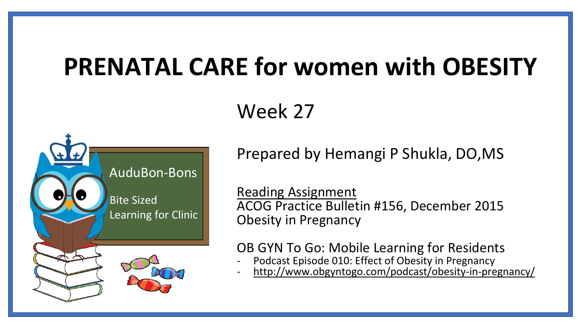# **PRENATAL CARE for women with OBESITY**

#### Week 27



Prepared by Hemangi P Shukla, DO,MS

Reading Assignment ACOG Practice Bulletin #156, December 2015 Obesity in Pregnancy

OB GYN To Go: Mobile Learning for Residents

- Podcast Episode 010: Effect of Obesity in Pregnancy
- <http://www.obgyntogo.com/podcast/obesity-in-pregnancy/>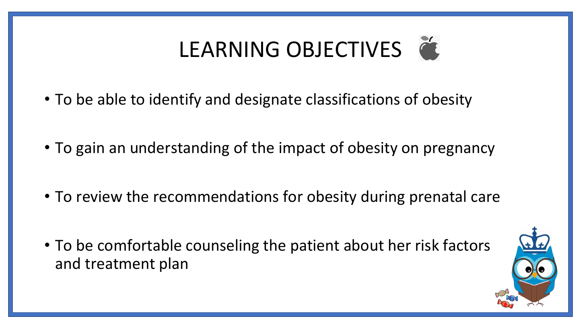# LEARNING OBJECTIVES

- To be able to identify and designate classifications of obesity
- To gain an understanding of the impact of obesity on pregnancy
- To review the recommendations for obesity during prenatal care
- To be comfortable counseling the patient about her risk factors and treatment plan

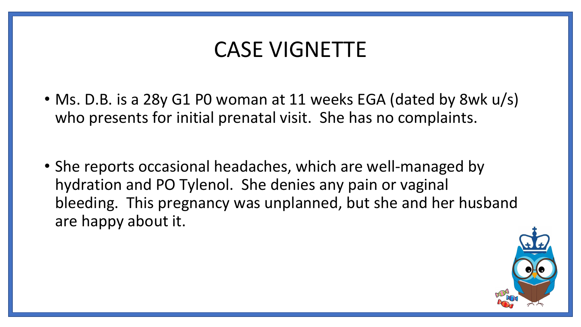#### CASE VIGNETTE

- Ms. D.B. is a 28y G1 P0 woman at 11 weeks EGA (dated by 8wk u/s) who presents for initial prenatal visit. She has no complaints.
- She reports occasional headaches, which are well-managed by hydration and PO Tylenol. She denies any pain or vaginal bleeding. This pregnancy was unplanned, but she and her husband are happy about it.

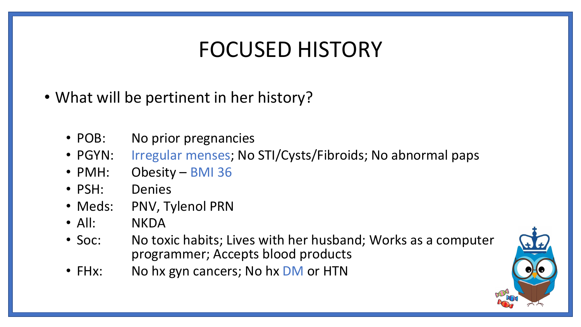## FOCUSED HISTORY

- What will be pertinent in her history?
	- POB: No prior pregnancies
	- PGYN: Irregular menses; No STI/Cysts/Fibroids; No abnormal paps
	- PMH: Obesity BMI 36
	- PSH: Denies
	- Meds: PNV, Tylenol PRN
	- All: NKDA
	- Soc: No toxic habits; Lives with her husband; Works as a computer programmer; Accepts blood products
	- FHx: No hx gyn cancers; No hx DM or HTN

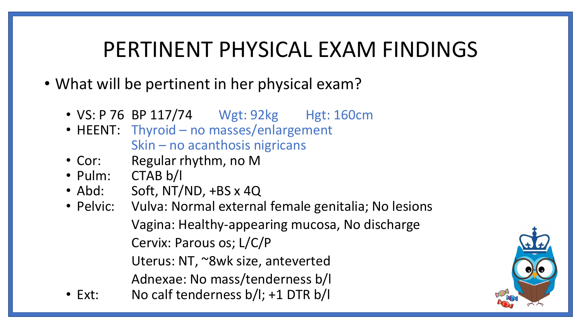#### PERTINENT PHYSICAL EXAM FINDINGS

- What will be pertinent in her physical exam?
	- VS: P 76 BP 117/74 Wgt: 92kg Hgt: 160cm
	- HEENT: Thyroid no masses/enlargement Skin – no acanthosis nigricans
	- Cor: Regular rhythm, no M
	- Pulm: CTAB b/l
	- Abd: Soft, NT/ND, +BS x 4Q
	- Pelvic: Vulva: Normal external female genitalia; No lesions Vagina: Healthy-appearing mucosa, No discharge
		- Cervix: Parous os; L/C/P
		- Uterus: NT, ~8wk size, anteverted
		- Adnexae: No mass/tenderness b/l
	- Ext: No calf tenderness b/l; +1 DTR b/l

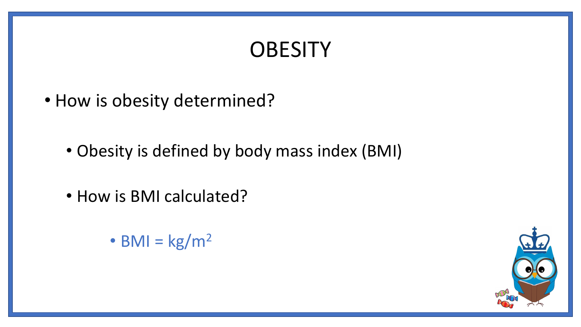## **OBESITY**

- How is obesity determined?
	- Obesity is defined by body mass index (BMI)
	- How is BMI calculated?
		- BMI =  $\text{kg/m}^2$

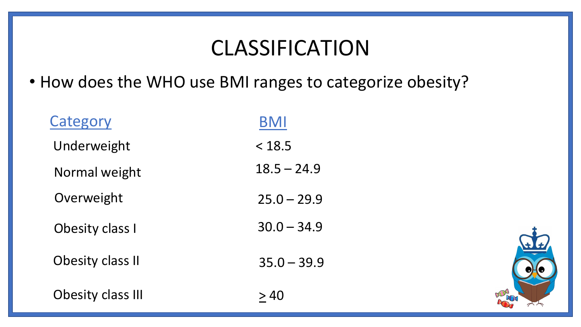#### CLASSIFICATION

• How does the WHO use BMI ranges to categorize obesity?

| Category                 | <b>BMI</b>    |
|--------------------------|---------------|
| Underweight              | < 18.5        |
| Normal weight            | $18.5 - 24.9$ |
| Overweight               | $25.0 - 29.9$ |
| Obesity class I          | $30.0 - 34.9$ |
| Obesity class II         | $35.0 - 39.9$ |
| <b>Obesity class III</b> | > 40          |

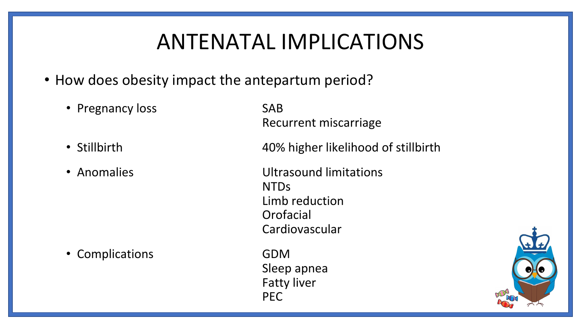### ANTENATAL IMPLICATIONS

Fatty liver

PEC

- How does obesity impact the antepartum period?
	- Pregnancy loss SAB Recurrent miscarriage • Stillbirth 40% higher likelihood of stillbirth • Anomalies **Exercise Service Service Contracts** Ultrasound limitations NTDs Limb reduction **Orofacial** Cardiovascular • Complications **GDM** Sleep apnea

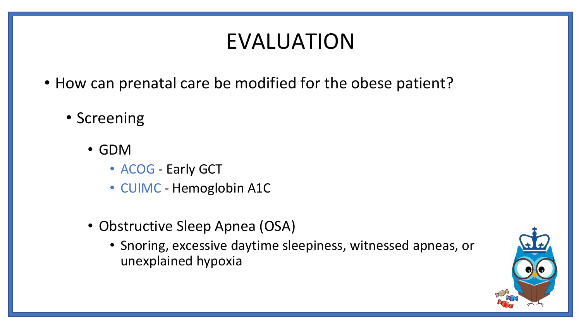# EVALUATION

- How can prenatal care be modified for the obese patient?
	- Screening
		- GDM
			- ACOG Early GCT
			- CUIMC Hemoglobin A1C
		- Obstructive Sleep Apnea (OSA)
			- Snoring, excessive daytime sleepiness, witnessed apneas, or unexplained hypoxia

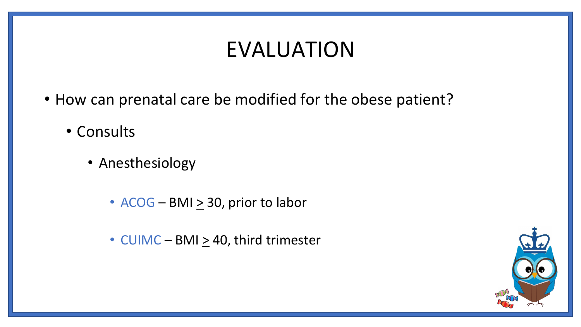### EVALUATION

- How can prenatal care be modified for the obese patient?
	- Consults
		- Anesthesiology
			- $ACOG BMI \geq 30$ , prior to labor
			- CUIMC BMI  $\geq$  40, third trimester

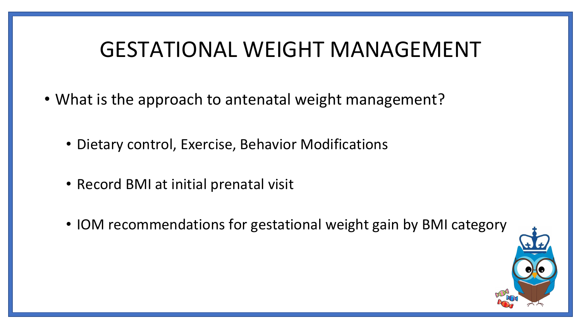#### GESTATIONAL WEIGHT MANAGEMENT

- What is the approach to antenatal weight management?
	- Dietary control, Exercise, Behavior Modifications
	- Record BMI at initial prenatal visit
	- IOM recommendations for gestational weight gain by BMI category

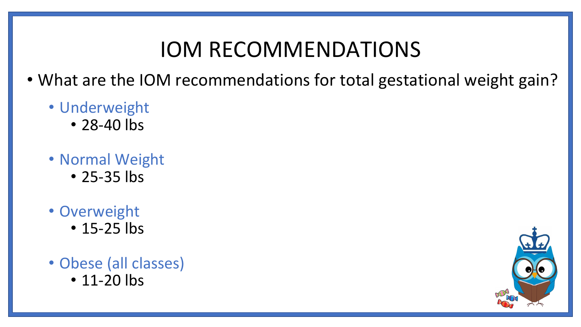#### IOM RECOMMENDATIONS

- What are the IOM recommendations for total gestational weight gain?
	- Underweight
		- 28-40 lbs
	- Normal Weight • 25-35 lbs
	- Overweight • 15-25 lbs
	- Obese (all classes)
		- 11-20 lbs

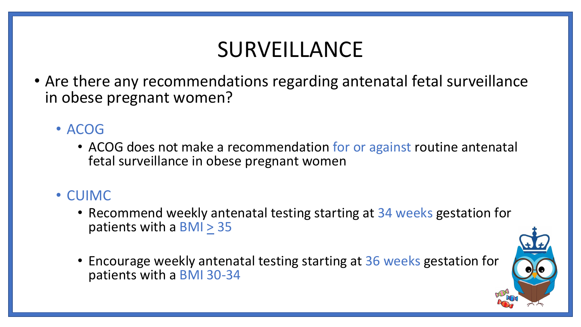# SURVEILLANCE

• Are there any recommendations regarding antenatal fetal surveillance in obese pregnant women?

#### • ACOG

• ACOG does not make a recommendation for or against routine antenatal fetal surveillance in obese pregnant women

#### • CUIMC

- Recommend weekly antenatal testing starting at 34 weeks gestation for patients with a BMI > 35
- Encourage weekly antenatal testing starting at 36 weeks gestation for patients with a BMI 30-34

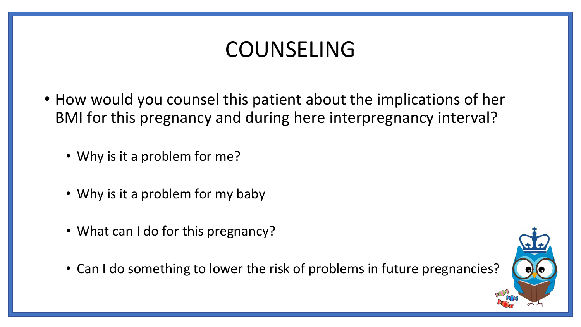## COUNSELING

- How would you counsel this patient about the implications of her BMI for this pregnancy and during here interpregnancy interval?
	- Why is it a problem for me?
	- Why is it a problem for my baby
	- What can I do for this pregnancy?
	- Can I do something to lower the risk of problems in future pregnancies?

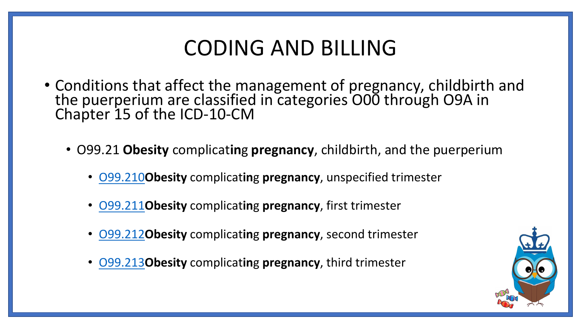#### CODING AND BILLING

- Conditions that affect the management of pregnancy, childbirth and the puerperium are classified in categories O00 through O9A in Chapter 15 of the ICD-10-CM
	- O99.21 **Obesity** complicat**in**g **pregnancy**, childbirth, and the puerperium
		- [O99.210](http://www.findacode.com/code.php?set=ICD10CM&c=O99.210)**Obesity** complicat**in**g **pregnancy**, unspecified trimester
		- [O99.211](http://www.findacode.com/code.php?set=ICD10CM&c=O99.211)**Obesity** complicat**in**g **pregnancy**, first trimester
		- [O99.212](http://www.findacode.com/code.php?set=ICD10CM&c=O99.212)**Obesity** complicat**in**g **pregnancy**, second trimester
		- [O99.213](http://www.findacode.com/code.php?set=ICD10CM&c=O99.213)**Obesity** complicat**in**g **pregnancy**, third trimester

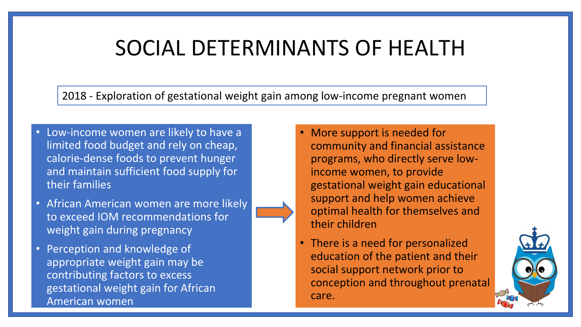#### SOCIAL DETERMINANTS OF HEALTH

2018 - Exploration of gestational weight gain among low-income pregnant women

- Low-income women are likely to have a limited food budget and rely on cheap, calorie-dense foods to prevent hunger and maintain sufficient food supply for their families
- African American women are more likely to exceed IOM recommendations for weight gain during pregnancy
- Perception and knowledge of appropriate weight gain may be contributing factors to excess gestational weight gain for African American women
- More support is needed for community and financial assistance programs, who directly serve lowincome women, to provide gestational weight gain educational support and help women achieve optimal health for themselves and their children
- There is a need for personalized education of the patient and their social support network prior to conception and throughout prenatal care.

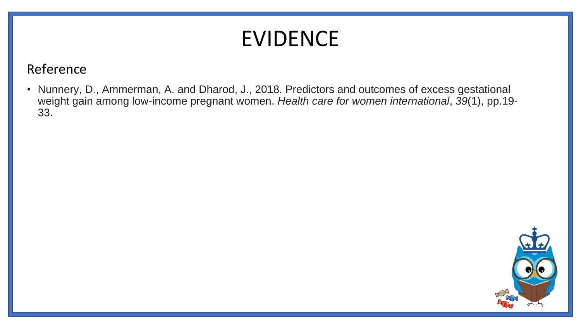# EVIDENCE

#### Reference

• Nunnery, D., Ammerman, A. and Dharod, J., 2018. Predictors and outcomes of excess gestational weight gain among low-income pregnant women. *Health care for women international*, *39*(1), pp.19- 33.

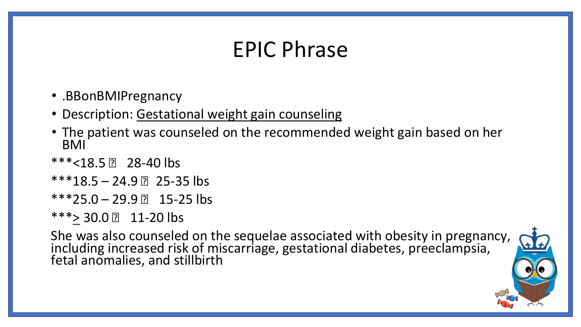### EPIC Phrase

- .BBonBMIPregnancy
- Description: Gestational weight gain counseling
- The patient was counseled on the recommended weight gain based on her BMI
- $***$  < 18.5  $\boxed{?}$  28-40 lbs
- $***18.5 24.9$  25-35 lbs
- $***25.0-29.9$  2 15-25 lbs
- $***$  30.0 2 11-20 lbs

She was also counseled on the sequelae associated with obesity in pregnancy, including increased risk of miscarriage, gestational diabetes, preeclampsia, fetal anomalies, and stillbirth